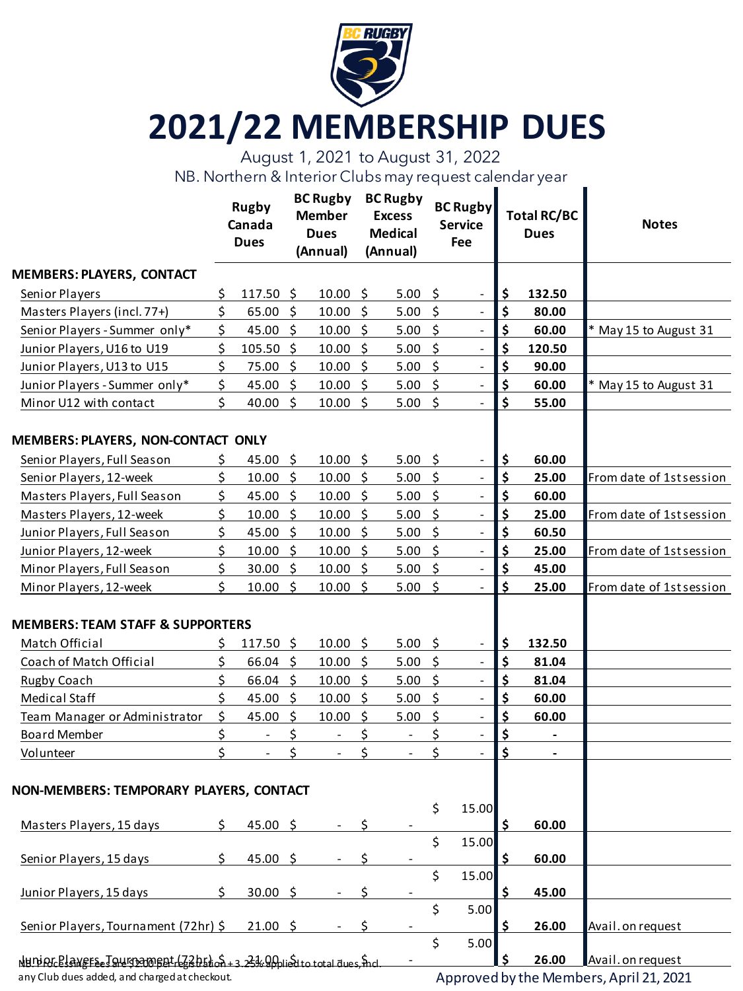

## **2021/22 MEMBERSHIP DUES**

August 1, 2021 to August 31, 2022

NB. Northern & Interior Clubs may request calendar year

|                                                                                                                                                                                                                                                                                                                 |     | <b>Rugby</b><br>Canada<br><b>Dues</b> |         | <b>BC Rugby</b><br><b>Member</b><br><b>Dues</b><br>(Annual) |      | <b>BC Rugby</b><br><b>Excess</b><br><b>Medical</b><br>(Annual) |                     | <b>BC Rugby</b><br><b>Service</b><br><b>Fee</b> | <b>Total RC/BC</b><br><b>Dues</b> |                          | <b>Notes</b>             |
|-----------------------------------------------------------------------------------------------------------------------------------------------------------------------------------------------------------------------------------------------------------------------------------------------------------------|-----|---------------------------------------|---------|-------------------------------------------------------------|------|----------------------------------------------------------------|---------------------|-------------------------------------------------|-----------------------------------|--------------------------|--------------------------|
| <b>MEMBERS: PLAYERS, CONTACT</b>                                                                                                                                                                                                                                                                                |     |                                       |         |                                                             |      |                                                                |                     |                                                 |                                   |                          |                          |
| Senior Players                                                                                                                                                                                                                                                                                                  | \$. | 117.50 \$                             |         | 10.00%                                                      |      | 5.00                                                           | $\zeta$             | $\overline{\phantom{a}}$                        | \$                                | 132.50                   |                          |
| Masters Players (incl. 77+)                                                                                                                                                                                                                                                                                     | \$  | 65.00%                                |         | 10.00%                                                      |      | 5.00%                                                          |                     | $\overline{\phantom{a}}$                        | \$                                | 80.00                    |                          |
| Senior Players - Summer only*                                                                                                                                                                                                                                                                                   | \$  | 45.00 \$                              |         | 10.00%                                                      |      | $5.00$ \$                                                      |                     | $\overline{\phantom{a}}$                        | \$                                | 60.00                    | * May 15 to August 31    |
| Junior Players, U16 to U19                                                                                                                                                                                                                                                                                      | \$  | 105.50 \$                             |         | 10.00%                                                      |      | 5.00                                                           | $\ddot{\mathsf{S}}$ | $\overline{\phantom{a}}$                        | \$                                | 120.50                   |                          |
| Junior Players, U13 to U15                                                                                                                                                                                                                                                                                      | \$  | 75.00 \$                              |         | 10.00%                                                      |      | 5.00                                                           | $\zeta$             | $\overline{\phantom{a}}$                        | \$                                | 90.00                    |                          |
| Junior Players - Summer only*                                                                                                                                                                                                                                                                                   | \$  | 45.00 \$                              |         | 10.00 \$                                                    |      | 5.00                                                           | $\zeta$             | $\overline{\phantom{a}}$                        | \$                                | 60.00                    | * May 15 to August 31    |
| Minor U12 with contact                                                                                                                                                                                                                                                                                          | \$  | 40.00                                 | \$      | 10.00%                                                      |      | 5.00 \$                                                        |                     |                                                 | \$                                | 55.00                    |                          |
| MEMBERS: PLAYERS, NON-CONTACT ONLY                                                                                                                                                                                                                                                                              |     |                                       |         |                                                             |      |                                                                |                     |                                                 |                                   |                          |                          |
| Senior Players, Full Season                                                                                                                                                                                                                                                                                     | \$  | 45.00 \$                              |         | 10.00%                                                      |      | 5.00                                                           | $\zeta$             | $\overline{\phantom{a}}$                        | \$                                | 60.00                    |                          |
| Senior Players, 12-week                                                                                                                                                                                                                                                                                         | \$  | 10.00%                                |         | 10.00%                                                      |      | $5.00$ \$                                                      |                     | $\blacksquare$                                  | \$                                | 25.00                    | From date of 1stsession  |
| Masters Players, Full Season                                                                                                                                                                                                                                                                                    | \$  | 45.00 \$                              |         | 10.00 \$                                                    |      | $5.00$ \$                                                      |                     | $\Box$                                          | \$                                | 60.00                    |                          |
| Masters Players, 12-week                                                                                                                                                                                                                                                                                        | \$  | 10.00%                                |         | 10.00%                                                      |      | 5.00                                                           | $\ddot{\mathsf{S}}$ | $\overline{\phantom{a}}$                        | \$                                | 25.00                    | From date of 1st session |
| Junior Players, Full Season                                                                                                                                                                                                                                                                                     | \$  | 45.00 \$                              |         | 10.00%                                                      |      | 5.00                                                           | $\zeta$             | $\overline{\phantom{a}}$                        | \$                                | 60.50                    |                          |
| Junior Players, 12-week                                                                                                                                                                                                                                                                                         | \$  | 10.00                                 | $\zeta$ | 10.00%                                                      |      | 5.00                                                           | $\zeta$             | $\blacksquare$                                  | \$                                | 25.00                    | From date of 1st session |
| Minor Players, Full Season                                                                                                                                                                                                                                                                                      | \$  | 30.00%                                |         | 10.00%                                                      |      | 5.00                                                           | -\$                 | $\overline{\phantom{a}}$                        | \$                                | 45.00                    |                          |
| Minor Players, 12-week                                                                                                                                                                                                                                                                                          | Ś   | 10.00%                                |         | 10.00 \$                                                    |      | 5.00%                                                          |                     | $\blacksquare$                                  | \$                                | 25.00                    | From date of 1st session |
| <b>MEMBERS: TEAM STAFF &amp; SUPPORTERS</b>                                                                                                                                                                                                                                                                     |     |                                       |         |                                                             |      |                                                                |                     |                                                 |                                   |                          |                          |
| Match Official                                                                                                                                                                                                                                                                                                  | S   | $117.50 \; \text{S}$                  |         | 10.00%                                                      |      | 5.00%                                                          |                     | $\overline{\phantom{a}}$                        | \$                                | 132.50                   |                          |
| Coach of Match Official                                                                                                                                                                                                                                                                                         | \$  | $66.04$ \$                            |         | 10.00%                                                      |      | 5.00                                                           | - \$                | $\overline{\phantom{a}}$                        | \$                                | 81.04                    |                          |
| Rugby Coach                                                                                                                                                                                                                                                                                                     | \$  | $66.04$ \$                            |         | 10.00%                                                      |      | 5.00                                                           | $\ddot{\mathsf{S}}$ | $\overline{\phantom{a}}$                        | \$                                | 81.04                    |                          |
| Medical Staff                                                                                                                                                                                                                                                                                                   | \$  | 45.00                                 | $\zeta$ | 10.00%                                                      |      | 5.00                                                           | $\zeta$             | $\blacksquare$                                  | \$                                | 60.00                    |                          |
| Team Manager or Administrator                                                                                                                                                                                                                                                                                   | \$  | 45.00                                 | \$      | 10.00                                                       | - \$ | 5.00                                                           | $\zeta$             | $\overline{\phantom{a}}$                        | \$                                | 60.00                    |                          |
| <b>Board Member</b>                                                                                                                                                                                                                                                                                             | \$  | $\overline{\phantom{a}}$              | \$      | $\overline{\phantom{a}}$                                    | \$   | $\overline{\phantom{a}}$                                       | \$                  | $\overline{\phantom{a}}$                        | \$                                | $\overline{\phantom{a}}$ |                          |
| Volunteer                                                                                                                                                                                                                                                                                                       | \$  | $\qquad \qquad \blacksquare$          | \$      | $\overline{\phantom{a}}$                                    | \$   | $\blacksquare$                                                 | \$                  | $\blacksquare$                                  | \$                                | $\overline{\phantom{a}}$ |                          |
| NON-MEMBERS: TEMPORARY PLAYERS, CONTACT                                                                                                                                                                                                                                                                         |     |                                       |         |                                                             |      |                                                                |                     |                                                 |                                   |                          |                          |
|                                                                                                                                                                                                                                                                                                                 |     |                                       |         |                                                             |      |                                                                |                     | \$15.00                                         |                                   |                          |                          |
| Masters Players, 15 days                                                                                                                                                                                                                                                                                        | Ś.  | 45.00 \$                              |         |                                                             | Ś    |                                                                |                     |                                                 | \$                                | 60.00                    |                          |
| Senior Players, 15 days                                                                                                                                                                                                                                                                                         | Ś.  | $45.00$ \$                            |         |                                                             | Ś    |                                                                | \$                  | 15.00                                           | \$                                | 60.00                    |                          |
|                                                                                                                                                                                                                                                                                                                 |     |                                       |         |                                                             |      |                                                                | \$                  | 15.00                                           |                                   |                          |                          |
| Junior Players, 15 days                                                                                                                                                                                                                                                                                         | Ś.  | 30.00 \$                              |         |                                                             | Ś    |                                                                |                     |                                                 | \$                                | 45.00                    |                          |
| Senior Players, Tournament (72hr) \$                                                                                                                                                                                                                                                                            |     | 21.00 \$                              |         |                                                             | Ś    |                                                                | \$                  | 5.00                                            | \$                                | 26.00                    | Avail. on request        |
|                                                                                                                                                                                                                                                                                                                 |     |                                       |         |                                                             |      |                                                                | \$                  | 5.00                                            |                                   |                          |                          |
| $\frac{1}{2}$ NHI PIC $\frac{1}{2}$ AVEFE $\frac{1}{2}$ $\frac{1}{2}$ AVE $\frac{1}{2}$ ( $\frac{1}{2}$ $\frac{1}{2}$ $\frac{1}{2}$ $\frac{1}{2}$ $\frac{1}{2}$ $\frac{1}{2}$ $\frac{1}{2}$ $\frac{1}{2}$ $\frac{1}{2}$ $\frac{1}{2}$ $\frac{1}{2}$ $\frac{1}{2}$ $\frac{1}{2}$ $\frac{1}{2}$ $\frac{1}{2}$ $\$ |     |                                       |         |                                                             |      |                                                                |                     |                                                 | \$                                | 26.00                    | Avail. on request        |

any Club dues added, and charged at checkout.

Approved by the Members, April 21, 2021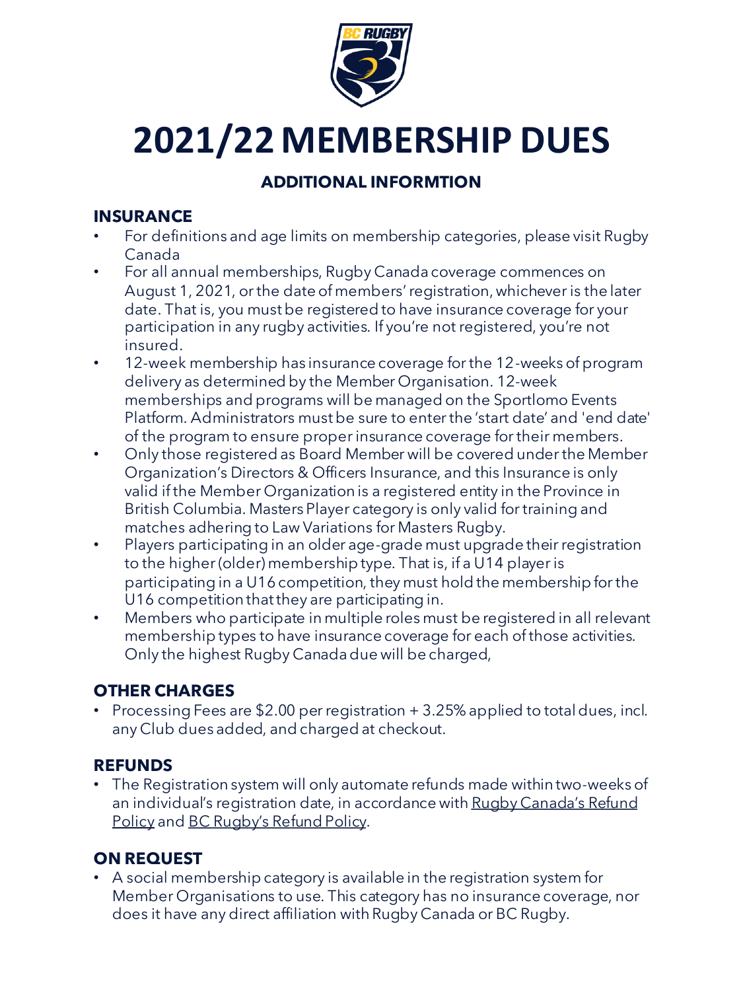

# **2021/22 MEMBERSHIP DUES**

### **ADDITIONAL INFORMTION**

#### **INSURANCE**

- For definitions and age limits on membership categories, please visit Rugby Canada
- For all annual memberships, Rugby Canada coverage commences on August 1, 2021, or the date of members' registration, whichever is the later date. That is, you must be registered to have insurance coverage for your participation in any rugby activities. If you're not registered, you're not insured.
- 12-week membership has insurance coverage for the 12-weeks of program delivery as determined by the Member Organisation. 12-week memberships and programs will be managed on the Sportlomo Events Platform. Administrators must be sure to enter the 'start date' and 'end date' of the program to ensure proper insurance coverage for their members.
- Only those registered as Board Member will be covered under the Member Organization's Directors & Officers Insurance, and this Insurance is only valid if the Member Organization is a registered entity in the Province in British Columbia. Masters Player category is only valid for training and matches adhering to Law Variations for Masters Rugby.
- Players participating in an older age-grade must upgrade their registration to the higher (older) membership type. That is, if a U14 player is participating in a U16 competition, they must hold the membership for the U16 competition that they are participating in.
- Members who participate in multiple roles must be registered in all relevant membership types to have insurance coverage for each of those activities. Only the highest Rugby Canada due will be charged,

#### **OTHER CHARGES**

• Processing Fees are \$2.00 per registration + 3.25% applied to total dues, incl. any Club dues added, and charged at checkout.

#### **REFUNDS**

• The Registration system will only automate refunds made within two-weeks of [an individual's registration date, in accordance with Rugby Canada's Refund](https://rugbycanada.sportlomo.com/refunds/)  Policy and [BC Rugby's Refund Policy](http://www.bcrugby.com/policies).

#### **ON REQUEST**

• A social membership category is available in the registration system for Member Organisations to use. This category has no insurance coverage, nor does it have any direct affiliation with Rugby Canada or BC Rugby.